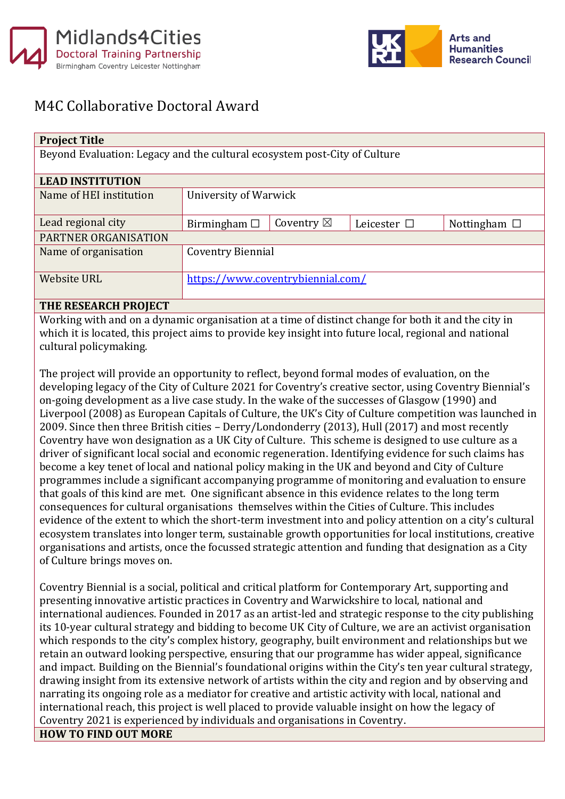



## M4C Collaborative Doctoral Award

| <b>Project Title</b>                                                      |                                   |                      |                     |                   |  |
|---------------------------------------------------------------------------|-----------------------------------|----------------------|---------------------|-------------------|--|
| Beyond Evaluation: Legacy and the cultural ecosystem post-City of Culture |                                   |                      |                     |                   |  |
|                                                                           |                                   |                      |                     |                   |  |
| <b>LEAD INSTITUTION</b>                                                   |                                   |                      |                     |                   |  |
| Name of HEI institution                                                   | University of Warwick             |                      |                     |                   |  |
|                                                                           |                                   |                      |                     |                   |  |
| Lead regional city                                                        | Birmingham $\Box$                 | Coventry $\boxtimes$ | Leicester $\square$ | Nottingham $\Box$ |  |
| PARTNER ORGANISATION                                                      |                                   |                      |                     |                   |  |
| Name of organisation                                                      | Coventry Biennial                 |                      |                     |                   |  |
|                                                                           |                                   |                      |                     |                   |  |
| <b>Website URL</b>                                                        | https://www.coventrybiennial.com/ |                      |                     |                   |  |
|                                                                           |                                   |                      |                     |                   |  |

## **THE RESEARCH PROJECT**

Working with and on a dynamic organisation at a time of distinct change for both it and the city in which it is located, this project aims to provide key insight into future local, regional and national cultural policymaking.

The project will provide an opportunity to reflect, beyond formal modes of evaluation, on the developing legacy of the City of Culture 2021 for Coventry's creative sector, using Coventry Biennial's on-going development as a live case study. In the wake of the successes of Glasgow (1990) and Liverpool (2008) as European Capitals of Culture, the UK's City of Culture competition was launched in 2009. Since then three British cities – Derry/Londonderry (2013), Hull (2017) and most recently Coventry have won designation as a UK City of Culture. This scheme is designed to use culture as a driver of significant local social and economic regeneration. Identifying evidence for such claims has become a key tenet of local and national policy making in the UK and beyond and City of Culture programmes include a significant accompanying programme of monitoring and evaluation to ensure that goals of this kind are met. One significant absence in this evidence relates to the long term consequences for cultural organisations themselves within the Cities of Culture. This includes evidence of the extent to which the short-term investment into and policy attention on a city's cultural ecosystem translates into longer term, sustainable growth opportunities for local institutions, creative organisations and artists, once the focussed strategic attention and funding that designation as a City of Culture brings moves on.

Coventry Biennial is a social, political and critical platform for Contemporary Art, supporting and presenting innovative artistic practices in Coventry and Warwickshire to local, national and international audiences. Founded in 2017 as an artist-led and strategic response to the city publishing its 10-year cultural strategy and bidding to become UK City of Culture, we are an activist organisation which responds to the city's complex history, geography, built environment and relationships but we retain an outward looking perspective, ensuring that our programme has wider appeal, significance and impact. Building on the Biennial's foundational origins within the City's ten year cultural strategy, drawing insight from its extensive network of artists within the city and region and by observing and narrating its ongoing role as a mediator for creative and artistic activity with local, national and international reach, this project is well placed to provide valuable insight on how the legacy of Coventry 2021 is experienced by individuals and organisations in Coventry.

**HOW TO FIND OUT MORE**